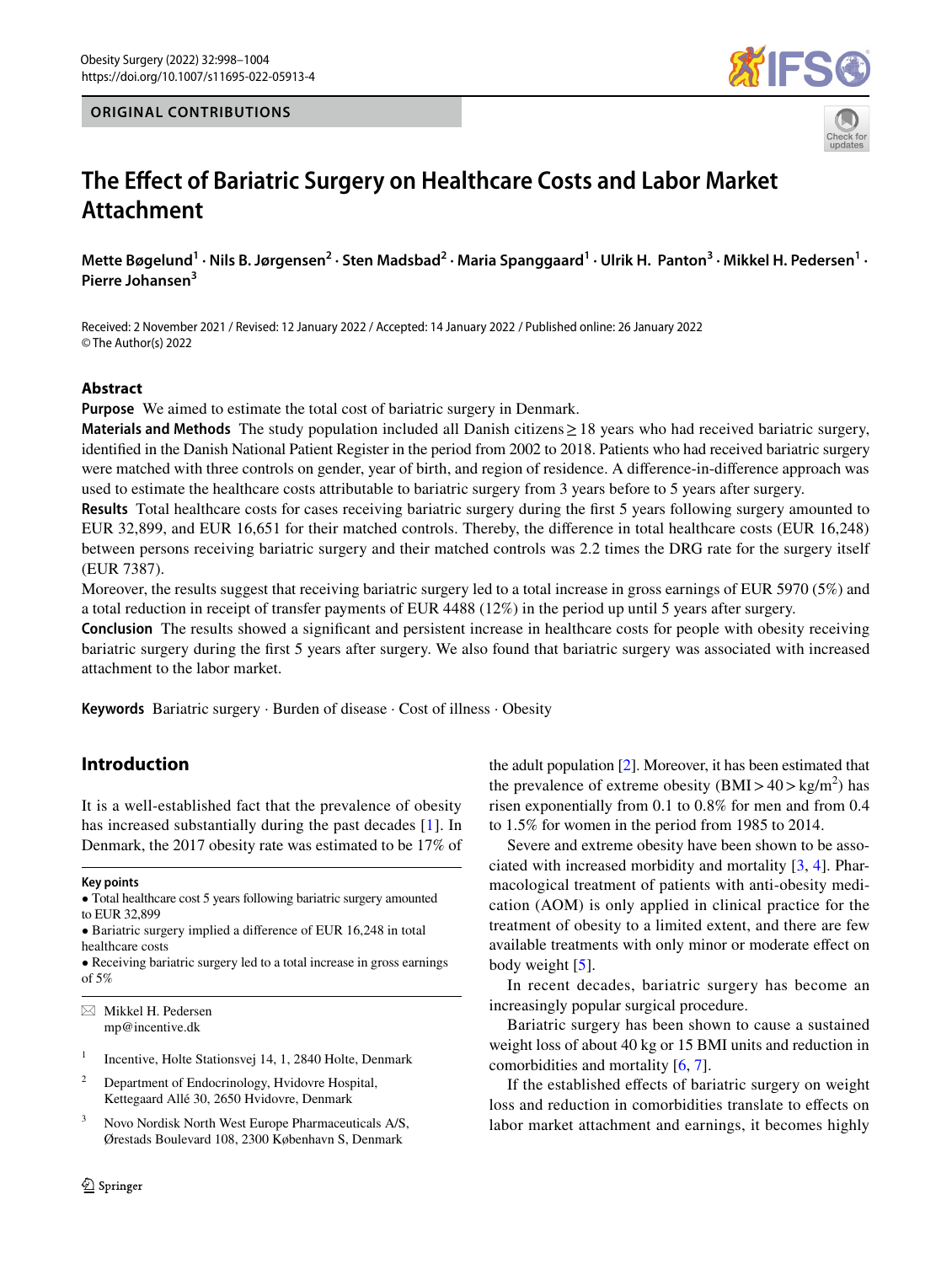# **ORIGINAL CONTRIBUTIONS**





# **The Efect of Bariatric Surgery on Healthcare Costs and Labor Market Attachment**

Mette Bøgelund<sup>1</sup> · Nils B. Jørgensen<sup>2</sup> · Sten Madsbad<sup>2</sup> · Maria Spanggaard<sup>1</sup> · Ulrik H. Panton<sup>3</sup> · Mikkel H. Pedersen<sup>1</sup> · **Pierre Johansen3**

Received: 2 November 2021 / Revised: 12 January 2022 / Accepted: 14 January 2022 / Published online: 26 January 2022 © The Author(s) 2022

## **Abstract**

**Purpose** We aimed to estimate the total cost of bariatric surgery in Denmark.

**Materials and Methods** The study population included all Danish citizens≥18 years who had received bariatric surgery, identifed in the Danish National Patient Register in the period from 2002 to 2018. Patients who had received bariatric surgery were matched with three controls on gender, year of birth, and region of residence. A diference-in-diference approach was used to estimate the healthcare costs attributable to bariatric surgery from 3 years before to 5 years after surgery.

**Results** Total healthcare costs for cases receiving bariatric surgery during the frst 5 years following surgery amounted to EUR 32,899, and EUR 16,651 for their matched controls. Thereby, the diference in total healthcare costs (EUR 16,248) between persons receiving bariatric surgery and their matched controls was 2.2 times the DRG rate for the surgery itself (EUR 7387).

Moreover, the results suggest that receiving bariatric surgery led to a total increase in gross earnings of EUR 5970 (5%) and a total reduction in receipt of transfer payments of EUR 4488 (12%) in the period up until 5 years after surgery.

**Conclusion** The results showed a significant and persistent increase in healthcare costs for people with obesity receiving bariatric surgery during the frst 5 years after surgery. We also found that bariatric surgery was associated with increased attachment to the labor market.

**Keywords** Bariatric surgery · Burden of disease · Cost of illness · Obesity

# **Introduction**

It is a well-established fact that the prevalence of obesity has increased substantially during the past decades [[1\]](#page-6-0). In Denmark, the 2017 obesity rate was estimated to be 17% of

#### **Key points**

- Total healthcare cost 5 years following bariatric surgery amounted to EUR 32,899
- Bariatric surgery implied a diference of EUR 16,248 in total healthcare costs
- Receiving bariatric surgery led to a total increase in gross earnings of 5%

 $\boxtimes$  Mikkel H. Pedersen mp@incentive.dk

- <sup>1</sup> Incentive, Holte Stationsvej 14, 1, 2840 Holte, Denmark
- <sup>2</sup> Department of Endocrinology, Hvidovre Hospital, Kettegaard Allé 30, 2650 Hvidovre, Denmark
- <sup>3</sup> Novo Nordisk North West Europe Pharmaceuticals A/S, Ørestads Boulevard 108, 2300 København S, Denmark

the adult population [\[2\]](#page-6-1). Moreover, it has been estimated that the prevalence of extreme obesity  $(BMI > 40 > kg/m<sup>2</sup>)$  has risen exponentially from 0.1 to 0.8% for men and from 0.4 to 1.5% for women in the period from 1985 to 2014.

Severe and extreme obesity have been shown to be associated with increased morbidity and mortality [[3,](#page-6-2) [4\]](#page-6-3). Pharmacological treatment of patients with anti-obesity medication (AOM) is only applied in clinical practice for the treatment of obesity to a limited extent, and there are few available treatments with only minor or moderate efect on body weight [[5\]](#page-6-4).

In recent decades, bariatric surgery has become an increasingly popular surgical procedure.

Bariatric surgery has been shown to cause a sustained weight loss of about 40 kg or 15 BMI units and reduction in comorbidities and mortality [\[6,](#page-6-5) [7\]](#page-6-6).

If the established effects of bariatric surgery on weight loss and reduction in comorbidities translate to efects on labor market attachment and earnings, it becomes highly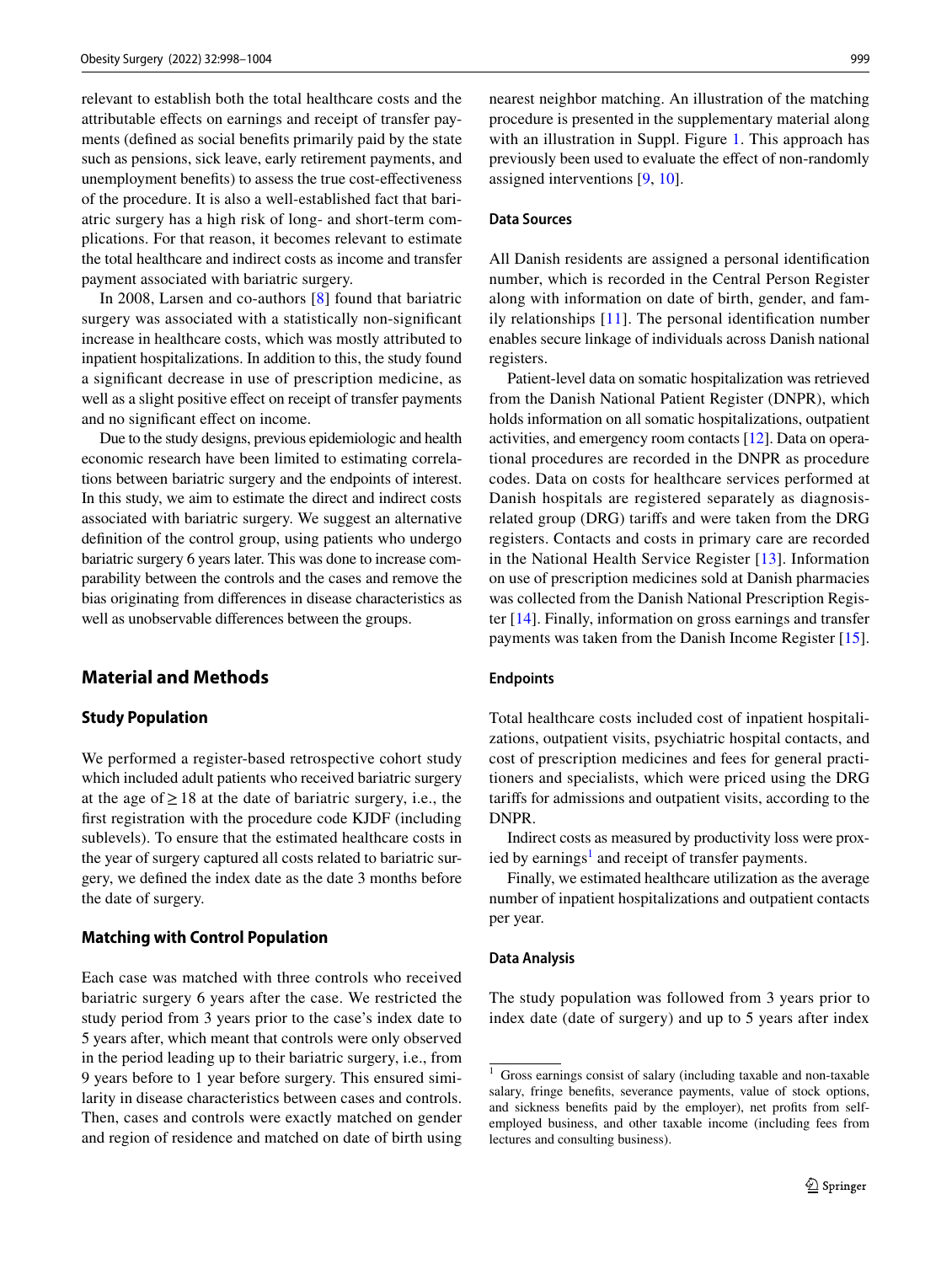relevant to establish both the total healthcare costs and the attributable efects on earnings and receipt of transfer payments (defned as social benefts primarily paid by the state such as pensions, sick leave, early retirement payments, and unemployment benefts) to assess the true cost-efectiveness of the procedure. It is also a well-established fact that bariatric surgery has a high risk of long- and short-term complications. For that reason, it becomes relevant to estimate the total healthcare and indirect costs as income and transfer payment associated with bariatric surgery.

In 2008, Larsen and co-authors [[8](#page-6-7)] found that bariatric surgery was associated with a statistically non-signifcant increase in healthcare costs, which was mostly attributed to inpatient hospitalizations. In addition to this, the study found a signifcant decrease in use of prescription medicine, as well as a slight positive effect on receipt of transfer payments and no signifcant efect on income.

Due to the study designs, previous epidemiologic and health economic research have been limited to estimating correlations between bariatric surgery and the endpoints of interest. In this study, we aim to estimate the direct and indirect costs associated with bariatric surgery. We suggest an alternative defnition of the control group, using patients who undergo bariatric surgery 6 years later. This was done to increase comparability between the controls and the cases and remove the bias originating from diferences in disease characteristics as well as unobservable diferences between the groups.

# **Material and Methods**

# **Study Population**

We performed a register-based retrospective cohort study which included adult patients who received bariatric surgery at the age of  $\geq$  18 at the date of bariatric surgery, i.e., the frst registration with the procedure code KJDF (including sublevels). To ensure that the estimated healthcare costs in the year of surgery captured all costs related to bariatric surgery, we defned the index date as the date 3 months before the date of surgery.

## **Matching with Control Population**

Each case was matched with three controls who received bariatric surgery 6 years after the case. We restricted the study period from 3 years prior to the case's index date to 5 years after, which meant that controls were only observed in the period leading up to their bariatric surgery, i.e., from 9 years before to 1 year before surgery. This ensured similarity in disease characteristics between cases and controls. Then, cases and controls were exactly matched on gender and region of residence and matched on date of birth using nearest neighbor matching. An illustration of the matching procedure is presented in the supplementary material along with an illustration in Suppl. Figure 1. This approach has previously been used to evaluate the efect of non-randomly assigned interventions [[9](#page-6-8), [10](#page-6-9)].

## **Data Sources**

All Danish residents are assigned a personal identifcation number, which is recorded in the Central Person Register along with information on date of birth, gender, and family relationships [\[11](#page-6-10)]. The personal identifcation number enables secure linkage of individuals across Danish national registers.

Patient-level data on somatic hospitalization was retrieved from the Danish National Patient Register (DNPR), which holds information on all somatic hospitalizations, outpatient activities, and emergency room contacts [\[12](#page-6-11)]. Data on operational procedures are recorded in the DNPR as procedure codes. Data on costs for healthcare services performed at Danish hospitals are registered separately as diagnosisrelated group (DRG) tarifs and were taken from the DRG registers. Contacts and costs in primary care are recorded in the National Health Service Register [[13](#page-6-12)]. Information on use of prescription medicines sold at Danish pharmacies was collected from the Danish National Prescription Register [[14\]](#page-6-13). Finally, information on gross earnings and transfer payments was taken from the Danish Income Register [\[15](#page-6-14)].

## **Endpoints**

Total healthcare costs included cost of inpatient hospitalizations, outpatient visits, psychiatric hospital contacts, and cost of prescription medicines and fees for general practitioners and specialists, which were priced using the DRG tarifs for admissions and outpatient visits, according to the DNPR.

Indirect costs as measured by productivity loss were prox-ied by earnings<sup>[1](#page-1-0)</sup> and receipt of transfer payments.

Finally, we estimated healthcare utilization as the average number of inpatient hospitalizations and outpatient contacts per year.

#### **Data Analysis**

The study population was followed from 3 years prior to index date (date of surgery) and up to 5 years after index

<span id="page-1-0"></span> $1$  Gross earnings consist of salary (including taxable and non-taxable salary, fringe benefts, severance payments, value of stock options, and sickness benefts paid by the employer), net profts from selfemployed business, and other taxable income (including fees from lectures and consulting business).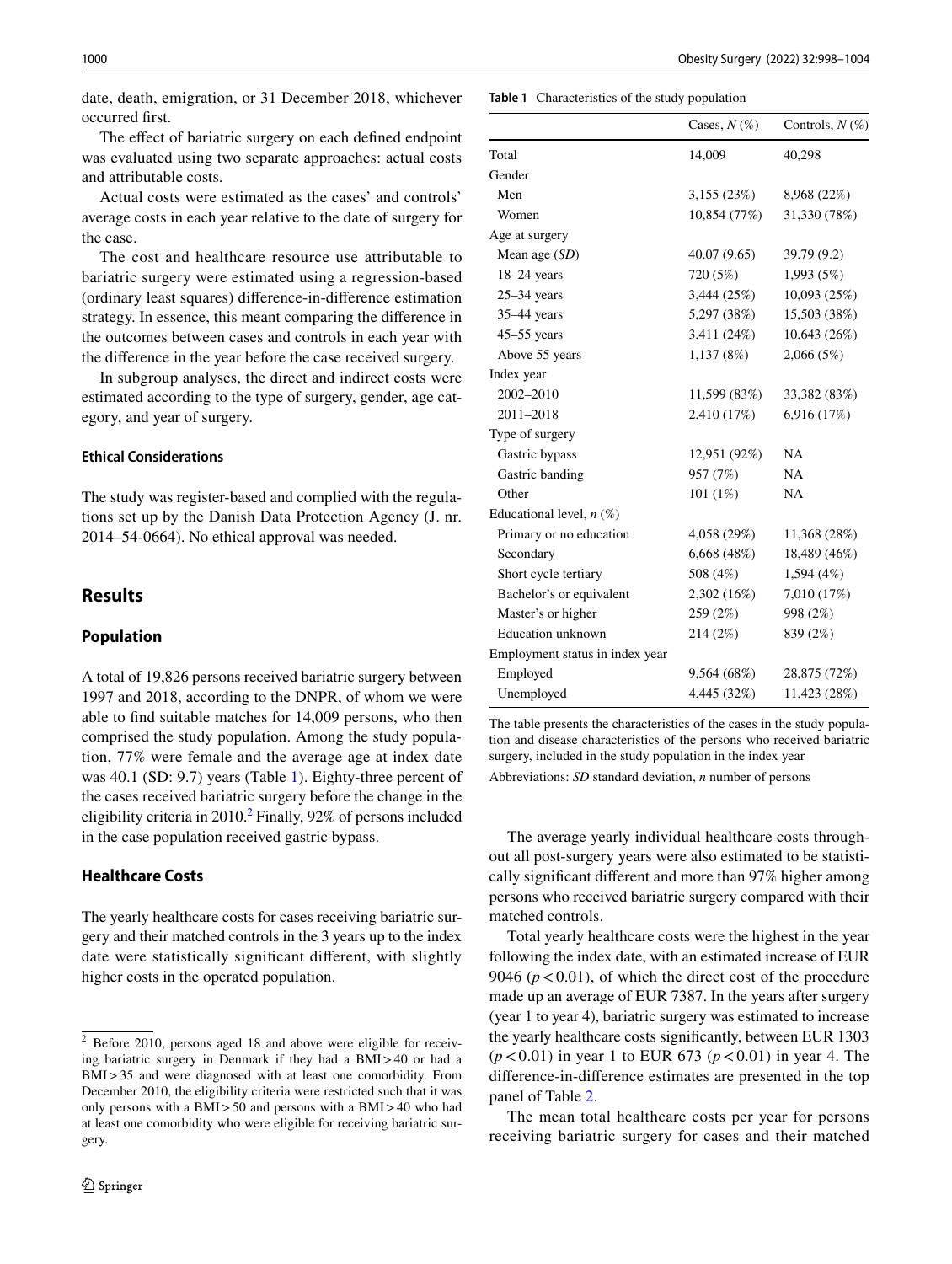date, death, emigration, or 31 December 2018, whichever occurred frst.

The effect of bariatric surgery on each defined endpoint was evaluated using two separate approaches: actual costs and attributable costs.

Actual costs were estimated as the cases' and controls' average costs in each year relative to the date of surgery for the case.

The cost and healthcare resource use attributable to bariatric surgery were estimated using a regression-based (ordinary least squares) diference-in-diference estimation strategy. In essence, this meant comparing the diference in the outcomes between cases and controls in each year with the diference in the year before the case received surgery.

In subgroup analyses, the direct and indirect costs were estimated according to the type of surgery, gender, age category, and year of surgery.

## **Ethical Considerations**

The study was register-based and complied with the regulations set up by the Danish Data Protection Agency (J. nr. 2014–54-0664). No ethical approval was needed.

# **Results**

# **Population**

A total of 19,826 persons received bariatric surgery between 1997 and 2018, according to the DNPR, of whom we were able to fnd suitable matches for 14,009 persons, who then comprised the study population. Among the study population, 77% were female and the average age at index date was 40.1 (SD: 9.7) years (Table [1\)](#page-2-0). Eighty-three percent of the cases received bariatric surgery before the change in the eligibility criteria in  $2010<sup>2</sup>$  $2010<sup>2</sup>$  Finally, 92% of persons included in the case population received gastric bypass.

## **Healthcare Costs**

The yearly healthcare costs for cases receiving bariatric surgery and their matched controls in the 3 years up to the index date were statistically signifcant diferent, with slightly higher costs in the operated population.

# <span id="page-2-0"></span>**Table 1** Characteristics of the study population

|                                 | Cases, $N(\%)$ | Controls, $N(\%)$ |
|---------------------------------|----------------|-------------------|
| Total                           | 14,009         | 40,298            |
| Gender                          |                |                   |
| Men                             | 3,155(23%)     | 8,968 (22%)       |
| Women                           | 10,854 (77%)   | 31,330 (78%)      |
| Age at surgery                  |                |                   |
| Mean age (SD)                   | 40.07(9.65)    | 39.79 (9.2)       |
| $18-24$ years                   | 720 (5%)       | 1,993 (5%)        |
| $25-34$ years                   | 3,444(25%)     | 10,093 (25%)      |
| $35-44$ years                   | 5,297 (38%)    | 15,503 (38%)      |
| $45-55$ years                   | 3,411 (24%)    | 10,643 (26%)      |
| Above 55 years                  | 1,137(8%)      | 2,066(5%)         |
| Index year                      |                |                   |
| 2002-2010                       | 11,599 (83%)   | 33,382 (83%)      |
| 2011-2018                       | 2,410 (17%)    | 6,916 (17%)       |
| Type of surgery                 |                |                   |
| Gastric bypass                  | 12,951 (92%)   | NA                |
| Gastric banding                 | 957 (7%)       | <b>NA</b>         |
| Other                           | 101 $(1%)$     | NA                |
| Educational level, $n$ (%)      |                |                   |
| Primary or no education         | 4,058 (29%)    | 11,368 (28%)      |
| Secondary                       | 6,668(48%)     | 18,489 (46%)      |
| Short cycle tertiary            | 508 (4%)       | 1,594 (4%)        |
| Bachelor's or equivalent        | 2,302 (16%)    | 7,010 (17%)       |
| Master's or higher              | 259 (2%)       | 998 (2%)          |
| <b>Education</b> unknown        | 214(2%)        | 839 (2%)          |
| Employment status in index year |                |                   |
| Employed                        | 9,564(68%)     | 28,875 (72%)      |
| Unemployed                      | 4,445 (32%)    | 11,423 (28%)      |

The table presents the characteristics of the cases in the study population and disease characteristics of the persons who received bariatric surgery, included in the study population in the index year

Abbreviations: *SD* standard deviation, *n* number of persons

The average yearly individual healthcare costs throughout all post-surgery years were also estimated to be statistically signifcant diferent and more than 97% higher among persons who received bariatric surgery compared with their matched controls.

Total yearly healthcare costs were the highest in the year following the index date, with an estimated increase of EUR 9046 ( $p < 0.01$ ), of which the direct cost of the procedure made up an average of EUR 7387. In the years after surgery (year 1 to year 4), bariatric surgery was estimated to increase the yearly healthcare costs signifcantly, between EUR 1303 (*p*<0.01) in year 1 to EUR 673 (*p*<0.01) in year 4. The diference-in-diference estimates are presented in the top panel of Table [2](#page-3-0).

The mean total healthcare costs per year for persons receiving bariatric surgery for cases and their matched

<span id="page-2-1"></span><sup>2</sup> Before 2010, persons aged 18 and above were eligible for receiving bariatric surgery in Denmark if they had a BMI>40 or had a BMI>35 and were diagnosed with at least one comorbidity. From December 2010, the eligibility criteria were restricted such that it was only persons with a BMI>50 and persons with a BMI>40 who had at least one comorbidity who were eligible for receiving bariatric surgery.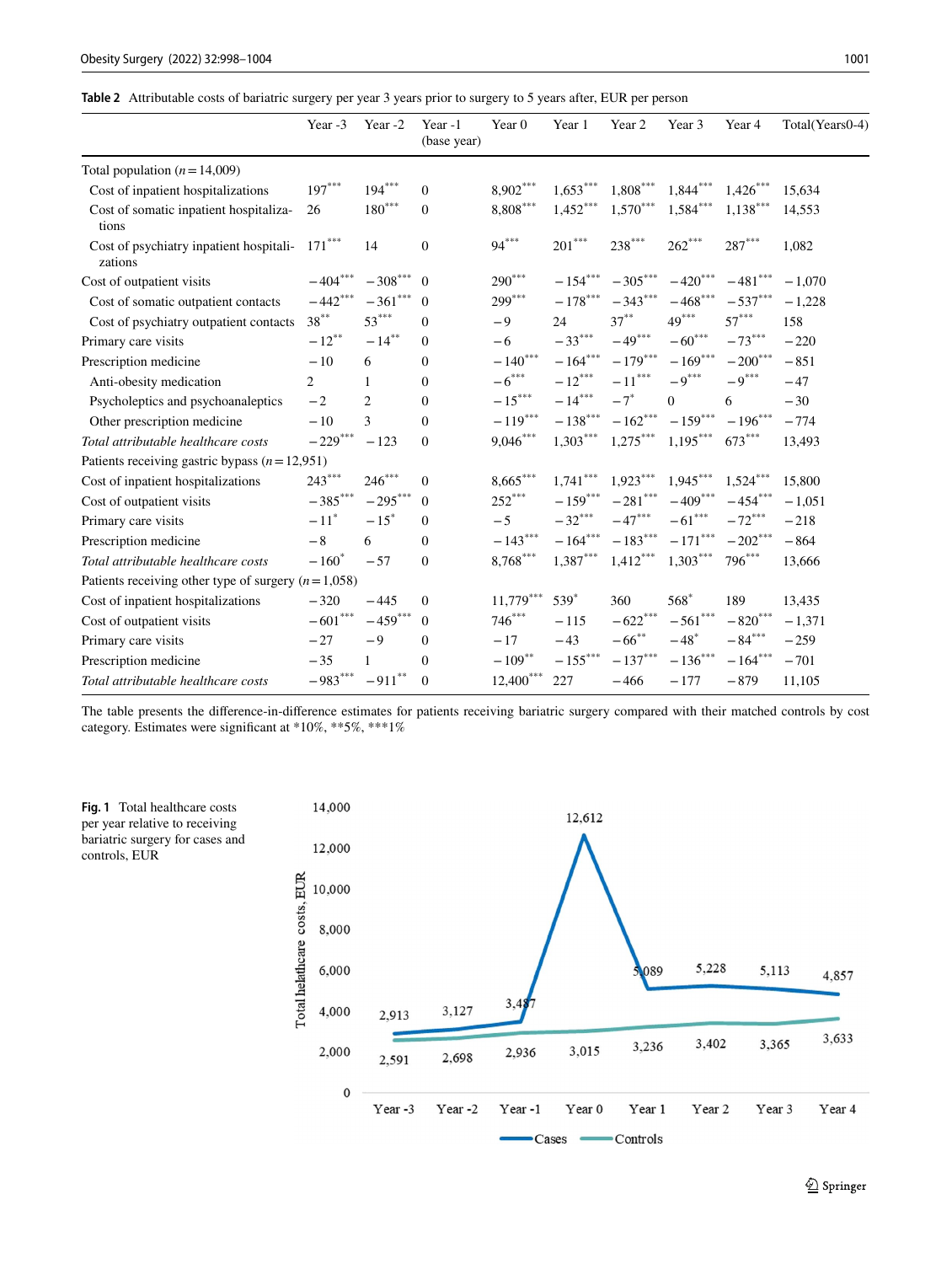<span id="page-3-0"></span>**Table 2** Attributable costs of bariatric surgery per year 3 years prior to surgery to 5 years after, EUR per person

|                                                      | Year -3               | Year-2               | Year-1<br>(base year) | Year <sub>0</sub>                 | Year 1                   | Year 2                          | Year 3                   | Year 4               | Total(Years0-4) |
|------------------------------------------------------|-----------------------|----------------------|-----------------------|-----------------------------------|--------------------------|---------------------------------|--------------------------|----------------------|-----------------|
| Total population ( $n = 14,009$ )                    |                       |                      |                       |                                   |                          |                                 |                          |                      |                 |
| Cost of inpatient hospitalizations                   | $197***$              | $194***$             | $\mathbf{0}$          | 8,902***                          | $1,653***$               | $\textbf{1,808}^{\ast\ast\ast}$ | $1,844***$               | $1,426***$           | 15,634          |
| Cost of somatic inpatient hospitaliza-<br>tions      | 26                    | $180^{\ast\ast\ast}$ | $\boldsymbol{0}$      | $8,808***$                        | $1{,}452^{\ast\ast\ast}$ | $1,\!570^{***}$                 | $1{,}584^{\ast\ast\ast}$ | $1,138***$           | 14,553          |
| Cost of psychiatry inpatient hospitali-<br>zations   | $171^{\ast\ast\ast}$  | 14                   | $\overline{0}$        | $94***$                           | $201***$                 | $238***$                        | $262***$                 | $287^{\ast\ast\ast}$ | 1,082           |
| Cost of outpatient visits                            | $-404***$             | $-308***$            | $\mathbf{0}$          | $290***$                          | $-154***$                | $-305***$                       | $-420***$                | $-481***$            | $-1.070$        |
| Cost of somatic outpatient contacts                  | $-442***$             | $-361***$            | $\mathbf{0}$          | $299***$                          | $-178^{\ast\ast\ast}$    | $-343***$                       | $-468***$                | $-537***$            | $-1,228$        |
| Cost of psychiatry outpatient contacts               | $38***$               | $53***$              | $\mathbf{0}$          | $-9$                              | 24                       | $37***$                         | $49***$                  | $57***$              | 158             |
| Primary care visits                                  | $-12^{**}$            | $-14***$             | $\mathbf{0}$          | $-6$                              | $-33***$                 | $-49***$                        | $-60***$                 | $-73***$             | $-220$          |
| Prescription medicine                                | $-10$                 | 6                    | $\mathbf{0}$          | $-140***$                         | $-164***$                | $-179***$                       | $-169***$                | $-200***$            | $-851$          |
| Anti-obesity medication                              | $\overline{c}$        | 1                    | $\mathbf{0}$          | $-6***$                           | $-12***$                 | $-11^{\ast\ast\ast}$            | $-9***$                  | $-9***$              | $-47$           |
| Psycholeptics and psychoanaleptics                   | $-2$                  | $\overline{2}$       | $\Omega$              | $-15***$                          | $-14***$                 | $-7$ <sup>*</sup>               | $\Omega$                 | 6                    | $-30$           |
| Other prescription medicine                          | $-10$                 | 3                    | $\mathbf{0}$          | $-119***$                         | $-138***$                | $-162***$                       | $-159***$                | $-196***$            | $-774$          |
| Total attributable healthcare costs                  | $-229***$             | $-123$               | $\overline{0}$        | $9,046***$                        | $1,303***$               | $1{,}275^{\ast\ast\ast}$        | $1,195***$               | $673***$             | 13,493          |
| Patients receiving gastric bypass $(n=12,951)$       |                       |                      |                       |                                   |                          |                                 |                          |                      |                 |
| Cost of inpatient hospitalizations                   | $243***$              | $246***$             | $\mathbf{0}$          | $8,665***$                        | $1,741***$               | $1,923***$                      | $1,945***$               | $1,524***$           | 15,800          |
| Cost of outpatient visits                            | $-385***$             | $-295***$            | $\mathbf{0}$          | $252***$                          | $-159***$                | $-281***$                       | $-409***$                | $-454***$            | $-1,051$        |
| Primary care visits                                  | $-11$ <sup>*</sup>    | $-15$ <sup>*</sup>   | $\Omega$              | $-5$                              | $-32***$                 | $-47***$                        | $-61***$                 | $-72***$             | $-218$          |
| Prescription medicine                                | $-8$                  | 6                    | $\Omega$              | $-143***$                         | $-164***$                | $-183***$                       | $-171***$                | $-202***$            | $-864$          |
| Total attributable healthcare costs                  | $-160*$               | $-57$                | $\boldsymbol{0}$      | $\textbf{8{,768}}^{\ast\ast\ast}$ | $1,387***$               | $1,412***$                      | $1,303***$               | $796***$             | 13,666          |
| Patients receiving other type of surgery $(n=1,058)$ |                       |                      |                       |                                   |                          |                                 |                          |                      |                 |
| Cost of inpatient hospitalizations                   | $-320$                | $-445$               | $\mathbf{0}$          | $11,779***$                       | $539*$                   | 360                             | $568*$                   | 189                  | 13,435          |
| Cost of outpatient visits                            | $-601^{\ast\ast\ast}$ | $-459***$            | $\theta$              | $746***$                          | $-115$                   | $-622***$                       | $-561^{\ast\ast\ast}$    | $- \, 820^{***}$     | $-1,371$        |
| Primary care visits                                  | $-27$                 | $-9$                 | $\mathbf{0}$          | $-17$                             | $-43$                    | $-66^{**}$                      | $-48$ <sup>*</sup>       | $-\,84^{***}$        | $-259$          |
| Prescription medicine                                | $-35$                 | $\mathbf{1}$         | $\mathbf{0}$          | $-109**$                          | $-155***$                | $-137***$                       | $-136***$                | $-164***$            | $-701$          |
| Total attributable healthcare costs                  | $-983***$             | $-911***$            | $\mathbf{0}$          | $12{,}400^{\ast\ast\ast}$         | 227                      | $-466$                          | $-177$                   | $-879$               | 11,105          |

The table presents the diference-in-diference estimates for patients receiving bariatric surgery compared with their matched controls by cost category. Estimates were signifcant at \*10%, \*\*5%, \*\*\*1%



<span id="page-3-1"></span>**Fig. 1** Total healthcare costs per year relative to receiving bariatric surgery for cases and controls, EUR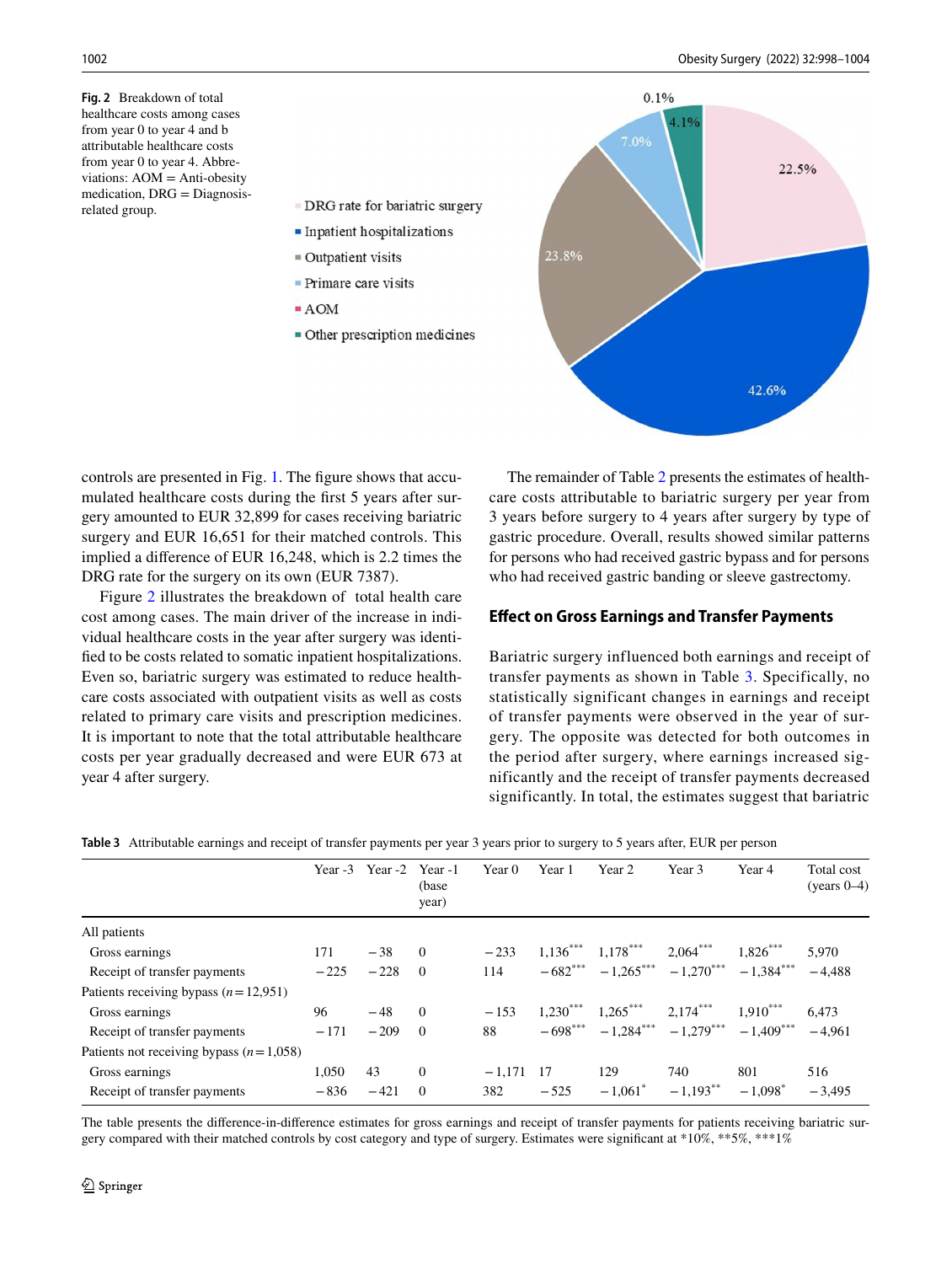<span id="page-4-0"></span>**Fig. 2** Breakdown of total healthcare costs among cases from year 0 to year 4 and b attributable healthcare costs from year 0 to year 4. Abbreviations: AOM = Anti-obesity medication, DRG = Diagnosisrelated group.



controls are presented in Fig. [1](#page-3-1). The fgure shows that accumulated healthcare costs during the frst 5 years after surgery amounted to EUR 32,899 for cases receiving bariatric surgery and EUR 16,651 for their matched controls. This implied a diference of EUR 16,248, which is 2.2 times the DRG rate for the surgery on its own (EUR 7387).

 $\blacksquare$  Inpatient hospitalizations

• Other prescription medicines

 $\blacksquare$  Outpatient visits  $\blacksquare$  Primare care visits

 $= AOM$ 

Figure [2](#page-4-0) illustrates the breakdown of total health care cost among cases. The main driver of the increase in individual healthcare costs in the year after surgery was identifed to be costs related to somatic inpatient hospitalizations. Even so, bariatric surgery was estimated to reduce healthcare costs associated with outpatient visits as well as costs related to primary care visits and prescription medicines. It is important to note that the total attributable healthcare costs per year gradually decreased and were EUR 673 at year 4 after surgery.

The remainder of Table [2](#page-3-0) presents the estimates of healthcare costs attributable to bariatric surgery per year from 3 years before surgery to 4 years after surgery by type of gastric procedure. Overall, results showed similar patterns for persons who had received gastric bypass and for persons who had received gastric banding or sleeve gastrectomy.

# **Efect on Gross Earnings and Transfer Payments**

Bariatric surgery influenced both earnings and receipt of transfer payments as shown in Table [3](#page-4-1). Specifically, no statistically significant changes in earnings and receipt of transfer payments were observed in the year of surgery. The opposite was detected for both outcomes in the period after surgery, where earnings increased significantly and the receipt of transfer payments decreased significantly. In total, the estimates suggest that bariatric

|                                           | Year $-3$ | Year -2 Year -1 | (base)<br>year) | Year 0   | Year 1     | Year 2                | Year 3                              | Year 4     | Total cost<br>(years $0-4$ ) |
|-------------------------------------------|-----------|-----------------|-----------------|----------|------------|-----------------------|-------------------------------------|------------|------------------------------|
| All patients                              |           |                 |                 |          |            |                       |                                     |            |                              |
| Gross earnings                            | 171       | $-38$           | $\Omega$        | $-233$   | $1,136***$ | $1,178***$            | $2,064***$                          | $1,826***$ | 5.970                        |
| Receipt of transfer payments              | $-225$    | $-228$          | $\Omega$        | 114      | $-682***$  |                       | $-1,265***$ $-1,270***$ $-1,384***$ |            | $-4.488$                     |
| Patients receiving bypass $(n=12.951)$    |           |                 |                 |          |            |                       |                                     |            |                              |
| Gross earnings                            | 96        | $-48$           | $\Omega$        | $-153$   | $1,230***$ | $1,265***$            | $2,174***$                          | $1,910***$ | 6.473                        |
| Receipt of transfer payments              | $-171$    | $-209$          | $\Omega$        | 88       | $-698***$  |                       | $-1,284***$ $-1,279***$ $-1,409***$ |            | $-4.961$                     |
| Patients not receiving bypass $(n=1.058)$ |           |                 |                 |          |            |                       |                                     |            |                              |
| Gross earnings                            | 1.050     | 43              | $\theta$        | $-1,171$ | - 17       | 129                   | 740                                 | 801        | 516                          |
| Receipt of transfer payments              | $-836$    | $-421$          | $\Omega$        | 382      | $-525$     | $-1.061$ <sup>*</sup> | $-1,193$ <sup>**</sup>              | $-1.098^*$ | $-3.495$                     |

<span id="page-4-1"></span>

|  |  |  |  |  | Table 3 Attributable earnings and receipt of transfer payments per year 3 years prior to surgery to 5 years after, EUR per person |  |
|--|--|--|--|--|-----------------------------------------------------------------------------------------------------------------------------------|--|
|--|--|--|--|--|-----------------------------------------------------------------------------------------------------------------------------------|--|

The table presents the diference-in-diference estimates for gross earnings and receipt of transfer payments for patients receiving bariatric surgery compared with their matched controls by cost category and type of surgery. Estimates were signifcant at \*10%, \*\*5%, \*\*\*1%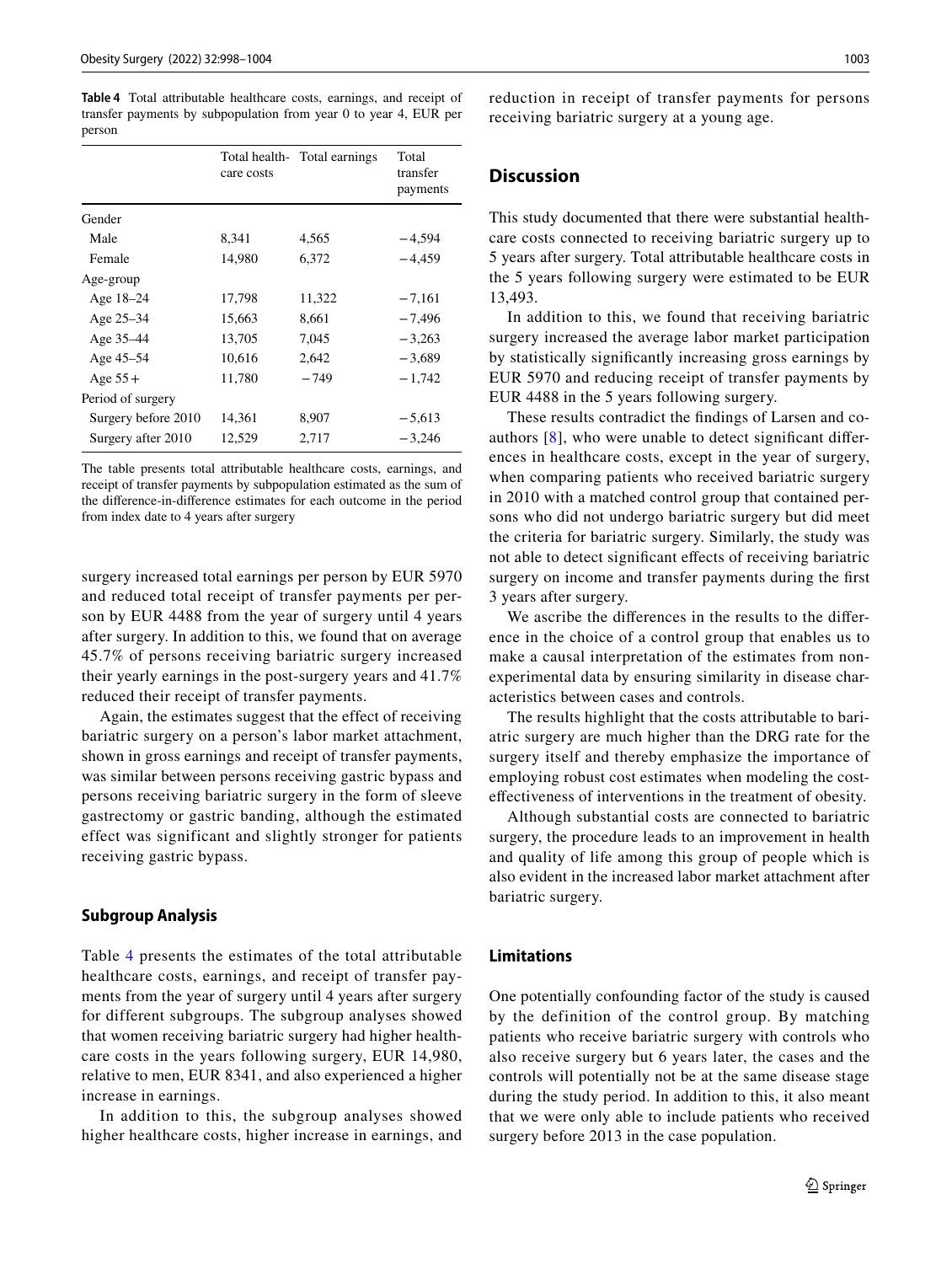<span id="page-5-0"></span>**Table 4** Total attributable healthcare costs, earnings, and receipt of transfer payments by subpopulation from year 0 to year 4, EUR per person

|                     | care costs | Total health - Total earnings | Total<br>transfer<br>payments |
|---------------------|------------|-------------------------------|-------------------------------|
| Gender              |            |                               |                               |
| Male                | 8,341      | 4,565                         | $-4,594$                      |
| Female              | 14,980     | 6,372                         | $-4.459$                      |
| Age-group           |            |                               |                               |
| Age 18–24           | 17,798     | 11,322                        | $-7,161$                      |
| Age 25–34           | 15,663     | 8.661                         | $-7.496$                      |
| Age 35–44           | 13,705     | 7.045                         | $-3,263$                      |
| Age 45-54           | 10,616     | 2.642                         | $-3.689$                      |
| Age $55+$           | 11,780     | $-749$                        | $-1.742$                      |
| Period of surgery   |            |                               |                               |
| Surgery before 2010 | 14,361     | 8,907                         | $-5,613$                      |
| Surgery after 2010  | 12,529     | 2,717                         | $-3,246$                      |

The table presents total attributable healthcare costs, earnings, and receipt of transfer payments by subpopulation estimated as the sum of the diference-in-diference estimates for each outcome in the period from index date to 4 years after surgery

surgery increased total earnings per person by EUR 5970 and reduced total receipt of transfer payments per person by EUR 4488 from the year of surgery until 4 years after surgery. In addition to this, we found that on average 45.7% of persons receiving bariatric surgery increased their yearly earnings in the post-surgery years and 41.7% reduced their receipt of transfer payments.

Again, the estimates suggest that the effect of receiving bariatric surgery on a person's labor market attachment, shown in gross earnings and receipt of transfer payments, was similar between persons receiving gastric bypass and persons receiving bariatric surgery in the form of sleeve gastrectomy or gastric banding, although the estimated effect was significant and slightly stronger for patients receiving gastric bypass.

#### **Subgroup Analysis**

Table [4](#page-5-0) presents the estimates of the total attributable healthcare costs, earnings, and receipt of transfer payments from the year of surgery until 4 years after surgery for different subgroups. The subgroup analyses showed that women receiving bariatric surgery had higher healthcare costs in the years following surgery, EUR 14,980, relative to men, EUR 8341, and also experienced a higher increase in earnings.

In addition to this, the subgroup analyses showed higher healthcare costs, higher increase in earnings, and reduction in receipt of transfer payments for persons receiving bariatric surgery at a young age.

## **Discussion**

This study documented that there were substantial healthcare costs connected to receiving bariatric surgery up to 5 years after surgery. Total attributable healthcare costs in the 5 years following surgery were estimated to be EUR 13,493.

In addition to this, we found that receiving bariatric surgery increased the average labor market participation by statistically signifcantly increasing gross earnings by EUR 5970 and reducing receipt of transfer payments by EUR 4488 in the 5 years following surgery.

These results contradict the fndings of Larsen and coauthors  $[8]$  $[8]$ , who were unable to detect significant differences in healthcare costs, except in the year of surgery, when comparing patients who received bariatric surgery in 2010 with a matched control group that contained persons who did not undergo bariatric surgery but did meet the criteria for bariatric surgery. Similarly, the study was not able to detect signifcant efects of receiving bariatric surgery on income and transfer payments during the frst 3 years after surgery.

We ascribe the diferences in the results to the diference in the choice of a control group that enables us to make a causal interpretation of the estimates from nonexperimental data by ensuring similarity in disease characteristics between cases and controls.

The results highlight that the costs attributable to bariatric surgery are much higher than the DRG rate for the surgery itself and thereby emphasize the importance of employing robust cost estimates when modeling the costefectiveness of interventions in the treatment of obesity.

Although substantial costs are connected to bariatric surgery, the procedure leads to an improvement in health and quality of life among this group of people which is also evident in the increased labor market attachment after bariatric surgery.

## **Limitations**

One potentially confounding factor of the study is caused by the definition of the control group. By matching patients who receive bariatric surgery with controls who also receive surgery but 6 years later, the cases and the controls will potentially not be at the same disease stage during the study period. In addition to this, it also meant that we were only able to include patients who received surgery before 2013 in the case population.